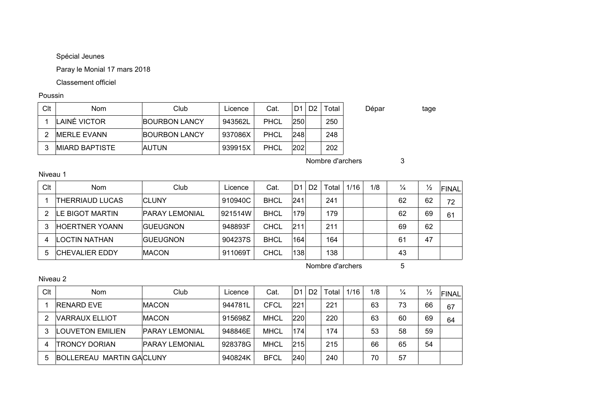Spécial Jeunes

Paray le Monial 17 mars 2018

Classement officiel

Poussin

| Clt | Nom                    | Club                 | Licence | Cat.        | D <sub>1</sub> | D2 | Total            | Dépar | tage |
|-----|------------------------|----------------------|---------|-------------|----------------|----|------------------|-------|------|
|     | LAINÉ VICTOR           | <b>BOURBON LANCY</b> | 943562L | <b>PHCL</b> | 250            |    | 250              |       |      |
| 2   | <b>IMERLE EVANN</b>    | <b>BOURBON LANCY</b> | 937086X | <b>PHCL</b> | 248            |    | 248              |       |      |
| 3   | <b>IMIARD BAPTISTE</b> | <b>AUTUN</b>         | 939915X | <b>PHCL</b> | 202            |    | 202              |       |      |
|     |                        |                      |         |             |                |    | Nombre d'archers | 3     |      |

Niveau 1

| Clt | <b>Nom</b>              | Club            | Licence | Cat.        | D <sub>1</sub> | D <sub>2</sub> | Гоtal | 1/16 | 1/8 | $\frac{1}{4}$ | $\frac{1}{2}$ | FINAL |
|-----|-------------------------|-----------------|---------|-------------|----------------|----------------|-------|------|-----|---------------|---------------|-------|
|     | THERRIAUD LUCAS         | <b>CLUNY</b>    | 910940C | <b>BHCL</b> | 241            |                | 241   |      |     | 62            | 62            | 72    |
|     | <b>ILE BIGOT MARTIN</b> | PARAY LEMONIAL  | 921514W | <b>BHCL</b> | 179            |                | 179   |      |     | 62            | 69            | 61    |
|     | <b>HOERTNER YOANN</b>   | <b>GUEUGNON</b> | 948893F | CHCL        | 211            |                | 211   |      |     | 69            | 62            |       |
|     | LOCTIN NATHAN           | <b>GUEUGNON</b> | 904237S | <b>BHCL</b> | 164            |                | 164   |      |     | 61            | 47            |       |
| 5   | ICHEVALIER EDDY         | <b>MACON</b>    | 911069T | CHCL        | 138            |                | 138   |      |     | 43            |               |       |

Nombre d'archers 5

Niveau 2

| Clt | <b>Nom</b>                      | Club                  | Licence | Cat.        | D <sub>1</sub> | D <sub>2</sub> | Total | 1/16 | 1/8 | $\frac{1}{4}$ | $\frac{1}{2}$ | FINAL |
|-----|---------------------------------|-----------------------|---------|-------------|----------------|----------------|-------|------|-----|---------------|---------------|-------|
|     | <b>RENARD EVE</b>               | <b>IMACON</b>         | 944781L | CFCL        | 221            |                | 221   |      | 63  | 73            | 66            | 67    |
| 2   | <b>VARRAUX ELLIOT</b>           | <b>IMACON</b>         | 915698Z | <b>MHCL</b> | 220            |                | 220   |      | 63  | 60            | 69            | 64    |
| 3   | <b>LOUVETON EMILIEN</b>         | <b>PARAY LEMONIAL</b> | 948846E | <b>MHCL</b> | 174            |                | 174   |      | 53  | 58            | 59            |       |
| 4   | TRONCY DORIAN                   | <b>PARAY LEMONIAL</b> | 928378G | <b>MHCL</b> | 215            |                | 215   |      | 66  | 65            | 54            |       |
| 5   | <b>BOLLEREAU MARTIN GACLUNY</b> |                       | 940824K | <b>BFCL</b> | 240            |                | 240   |      | 70  | 57            |               |       |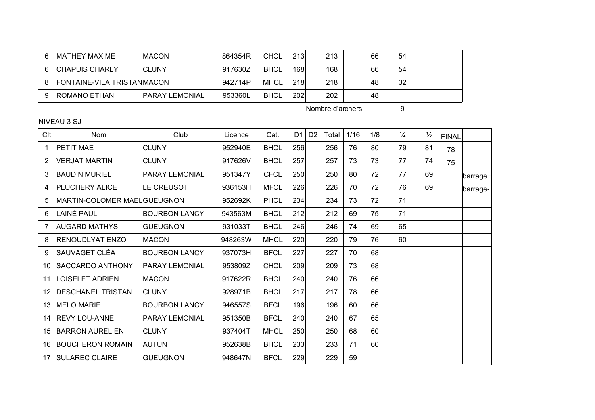|   | <b>IMATHEY MAXIME</b>             | <b>MACON</b>    | 864354R | CHCL        | 213 | 213 | 66 | 54 |  |
|---|-----------------------------------|-----------------|---------|-------------|-----|-----|----|----|--|
| 6 | <b>ICHAPUIS CHARLY</b>            | <b>CLUNY</b>    | 917630Z | <b>BHCL</b> | 168 | 168 | 66 | 54 |  |
|   | <b>FONTAINE-VILA TRISTANMACON</b> |                 | 942714P | <b>MHCL</b> | 218 | 218 | 48 | 32 |  |
|   | <b>ROMANO ETHAN</b>               | IPARAY LEMONIAL | 953360L | <b>BHCL</b> | 202 | 202 | 48 |    |  |

Nombre d'archers 9

NIVEAU 3 SJ

| Clt | <b>Nom</b>                   | Club                  | Licence | Cat.        | D <sub>1</sub> | D <sub>2</sub> | Total | 1/16 | 1/8 | $\frac{1}{4}$ | $\frac{1}{2}$ | <b>FINAL</b> |          |
|-----|------------------------------|-----------------------|---------|-------------|----------------|----------------|-------|------|-----|---------------|---------------|--------------|----------|
| 1   | <b>PETIT MAE</b>             | <b>CLUNY</b>          | 952940E | <b>BHCL</b> | 256            |                | 256   | 76   | 80  | 79            | 81            | 78           |          |
| 2   | <b>VERJAT MARTIN</b>         | <b>CLUNY</b>          | 917626V | <b>BHCL</b> | 257            |                | 257   | 73   | 73  | 77            | 74            | 75           |          |
| 3   | <b>BAUDIN MURIEL</b>         | <b>PARAY LEMONIAL</b> | 951347Y | <b>CFCL</b> | 250            |                | 250   | 80   | 72  | 77            | 69            |              | barrage+ |
| 4   | <b>PLUCHERY ALICE</b>        | LE CREUSOT            | 936153H | <b>MFCL</b> | 226            |                | 226   | 70   | 72  | 76            | 69            |              | barrage- |
| 5   | MARTIN-COLOMER MAEL GUEUGNON |                       | 952692K | <b>PHCL</b> | 234            |                | 234   | 73   | 72  | 71            |               |              |          |
| 6   | LAINÉ PAUL                   | <b>BOURBON LANCY</b>  | 943563M | <b>BHCL</b> | 212            |                | 212   | 69   | 75  | 71            |               |              |          |
| 7   | <b>AUGARD MATHYS</b>         | <b>GUEUGNON</b>       | 931033T | <b>BHCL</b> | 246            |                | 246   | 74   | 69  | 65            |               |              |          |
| 8   | <b>RENOUDLYAT ENZO</b>       | <b>MACON</b>          | 948263W | <b>MHCL</b> | 220            |                | 220   | 79   | 76  | 60            |               |              |          |
| 9   | SAUVAGET CLÉA                | <b>BOURBON LANCY</b>  | 937073H | <b>BFCL</b> | 227            |                | 227   | 70   | 68  |               |               |              |          |
| 10  | <b>SACCARDO ANTHONY</b>      | <b>PARAY LEMONIAL</b> | 953809Z | <b>CHCL</b> | 209            |                | 209   | 73   | 68  |               |               |              |          |
| 11  | <b>LOISELET ADRIEN</b>       | <b>MACON</b>          | 917622R | <b>BHCL</b> | 240            |                | 240   | 76   | 66  |               |               |              |          |
| 12  | <b>IDESCHANEL TRISTAN</b>    | <b>CLUNY</b>          | 928971B | <b>BHCL</b> | 217            |                | 217   | 78   | 66  |               |               |              |          |
| 13  | <b>MELO MARIE</b>            | <b>BOURBON LANCY</b>  | 946557S | <b>BFCL</b> | 196            |                | 196   | 60   | 66  |               |               |              |          |
| 14  | <b>REVY LOU-ANNE</b>         | <b>PARAY LEMONIAL</b> | 951350B | <b>BFCL</b> | 240            |                | 240   | 67   | 65  |               |               |              |          |
| 15  | <b>BARRON AURELIEN</b>       | <b>CLUNY</b>          | 937404T | <b>MHCL</b> | 250            |                | 250   | 68   | 60  |               |               |              |          |
| 16  | <b>BOUCHERON ROMAIN</b>      | <b>AUTUN</b>          | 952638B | <b>BHCL</b> | 233            |                | 233   | 71   | 60  |               |               |              |          |
| 17  | <b>SULAREC CLAIRE</b>        | <b>GUEUGNON</b>       | 948647N | <b>BFCL</b> | 229            |                | 229   | 59   |     |               |               |              |          |